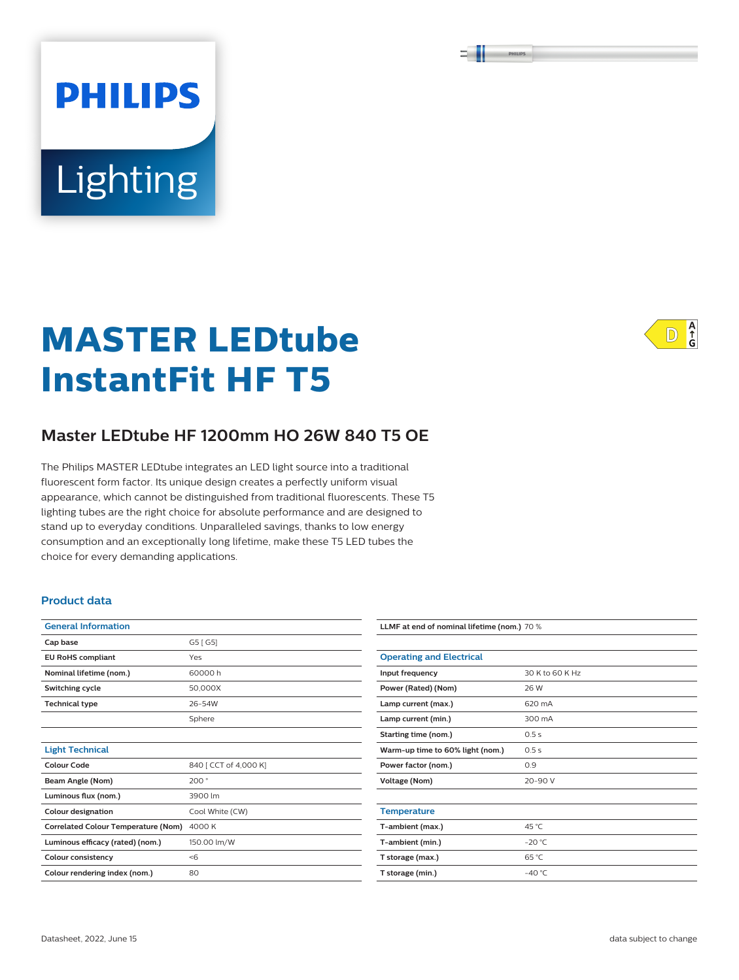PHILIPS

# Lighting

**PHILIPS** 

# **MASTER LEDtube InstantFit HF T5**



# **Master LEDtube HF 1200mm HO 26W 840 T5 OE**

The Philips MASTER LEDtube integrates an LED light source into a traditional fluorescent form factor. Its unique design creates a perfectly uniform visual appearance, which cannot be distinguished from traditional fluorescents. These T5 lighting tubes are the right choice for absolute performance and are designed to stand up to everyday conditions. Unparalleled savings, thanks to low energy consumption and an exceptionally long lifetime, make these T5 LED tubes the choice for every demanding applications.

#### **Product data**

| <b>General Information</b>                 |                       |  |  |  |
|--------------------------------------------|-----------------------|--|--|--|
| Cap base                                   | G5 [ G5]              |  |  |  |
| <b>EU RoHS compliant</b>                   | Yes                   |  |  |  |
| Nominal lifetime (nom.)                    | 60000 h               |  |  |  |
| Switching cycle                            | 50,000X               |  |  |  |
| <b>Technical type</b>                      | 26-54W                |  |  |  |
|                                            | Sphere                |  |  |  |
|                                            |                       |  |  |  |
| <b>Light Technical</b>                     |                       |  |  |  |
| Colour Code                                | 840   CCT of 4,000 K] |  |  |  |
| Beam Angle (Nom)                           | 200°                  |  |  |  |
| Luminous flux (nom.)                       | 3900 lm               |  |  |  |
| <b>Colour designation</b>                  | Cool White (CW)       |  |  |  |
| <b>Correlated Colour Temperature (Nom)</b> | 4000 K                |  |  |  |
| Luminous efficacy (rated) (nom.)           | 150.00 lm/W           |  |  |  |
| <b>Colour consistency</b>                  | < 6                   |  |  |  |
| Colour rendering index (nom.)              | 80                    |  |  |  |

| LLMF at end of nominal lifetime (nom.) 70 % |                 |  |  |  |
|---------------------------------------------|-----------------|--|--|--|
|                                             |                 |  |  |  |
| <b>Operating and Electrical</b>             |                 |  |  |  |
| Input frequency                             | 30 K to 60 K Hz |  |  |  |
| Power (Rated) (Nom)                         | 26 W            |  |  |  |
| Lamp current (max.)                         | 620 mA          |  |  |  |
| Lamp current (min.)                         | 300 mA          |  |  |  |
| Starting time (nom.)                        | 0.5s            |  |  |  |
| Warm-up time to 60% light (nom.)            | 0.5s            |  |  |  |
| Power factor (nom.)                         | 0.9             |  |  |  |
| <b>Voltage (Nom)</b>                        | $20 - 90V$      |  |  |  |
|                                             |                 |  |  |  |
| <b>Temperature</b>                          |                 |  |  |  |
| T-ambient (max.)                            | 45 °C           |  |  |  |
| T-ambient (min.)                            | $-20 °C$        |  |  |  |
| T storage (max.)                            | 65 °C           |  |  |  |
| T storage (min.)                            | $-40 °C$        |  |  |  |
|                                             |                 |  |  |  |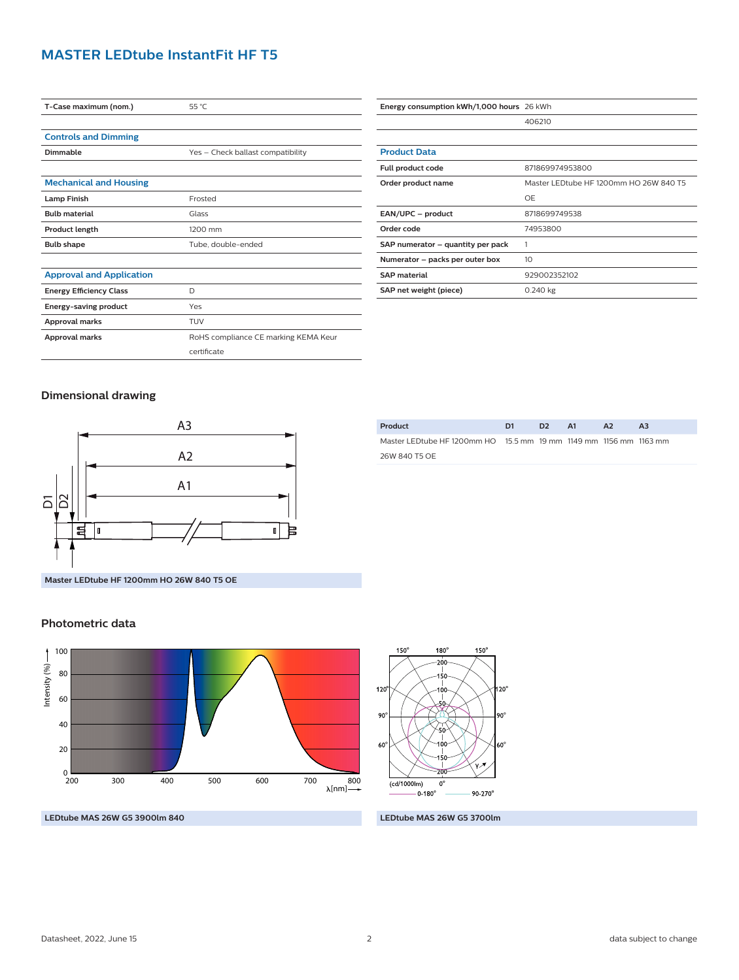#### **MASTER LEDtube InstantFit HF T5**

| T-Case maximum (nom.)           | 55 °C                                |  |  |  |
|---------------------------------|--------------------------------------|--|--|--|
|                                 |                                      |  |  |  |
| <b>Controls and Dimming</b>     |                                      |  |  |  |
| Dimmable                        | Yes - Check ballast compatibility    |  |  |  |
|                                 |                                      |  |  |  |
| <b>Mechanical and Housing</b>   |                                      |  |  |  |
| <b>Lamp Finish</b>              | Frosted                              |  |  |  |
| <b>Bulb material</b>            | Glass                                |  |  |  |
| Product length                  | 1200 mm                              |  |  |  |
| <b>Bulb shape</b>               | Tube, double-ended                   |  |  |  |
|                                 |                                      |  |  |  |
| <b>Approval and Application</b> |                                      |  |  |  |
| <b>Energy Efficiency Class</b>  | D                                    |  |  |  |
| <b>Energy-saving product</b>    | Yes                                  |  |  |  |
| Approval marks                  | <b>TUV</b>                           |  |  |  |
| <b>Approval marks</b>           | RoHS compliance CE marking KEMA Keur |  |  |  |
|                                 | certificate                          |  |  |  |
|                                 |                                      |  |  |  |

| Energy consumption kWh/1,000 hours 26 kWh |                                        |  |  |
|-------------------------------------------|----------------------------------------|--|--|
|                                           | 406210                                 |  |  |
|                                           |                                        |  |  |
| <b>Product Data</b>                       |                                        |  |  |
| Full product code                         | 871869974953800                        |  |  |
| Order product name                        | Master LEDtube HF 1200mm HO 26W 840 T5 |  |  |
|                                           | OF                                     |  |  |
| EAN/UPC - product                         | 8718699749538                          |  |  |
| Order code                                | 74953800                               |  |  |
| SAP numerator - quantity per pack         |                                        |  |  |
| Numerator - packs per outer box           | 10                                     |  |  |
| <b>SAP</b> material                       | 929002352102                           |  |  |
| SAP net weight (piece)                    | 0.240 kg                               |  |  |

#### **Dimensional drawing**



**Master LEDtube HF 1200mm HO 26W 840 T5 OE**

#### **Photometric data**





| Product                                                            | D1 | ּכּח | AA | A <sub>2</sub> | A <sub>3</sub> |
|--------------------------------------------------------------------|----|------|----|----------------|----------------|
| Master LED tube HF 1200mm HO 15.5 mm 19 mm 1149 mm 1156 mm 1163 mm |    |      |    |                |                |
| 26W 840 T5 OF                                                      |    |      |    |                |                |

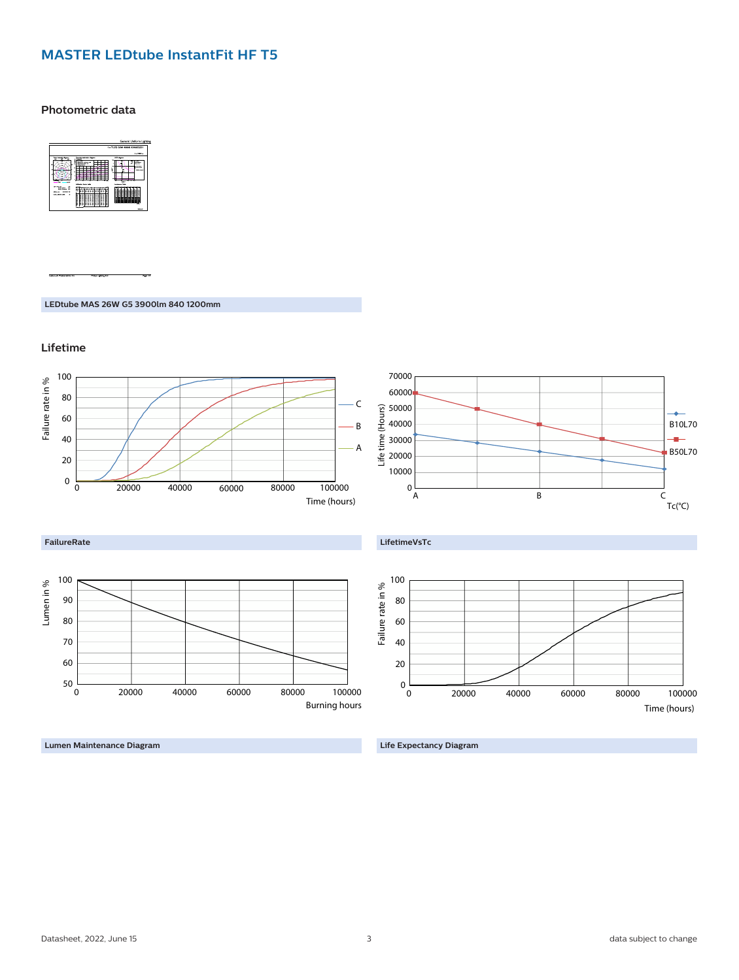## **MASTER LEDtube InstantFit HF T5**

**Photometric data**



**LEDtube MAS 26W G5 3900lm 840 1200mm**

**Lifetime**



**Lumen Maintenance Diagram**

**Life Expectancy Diagram**